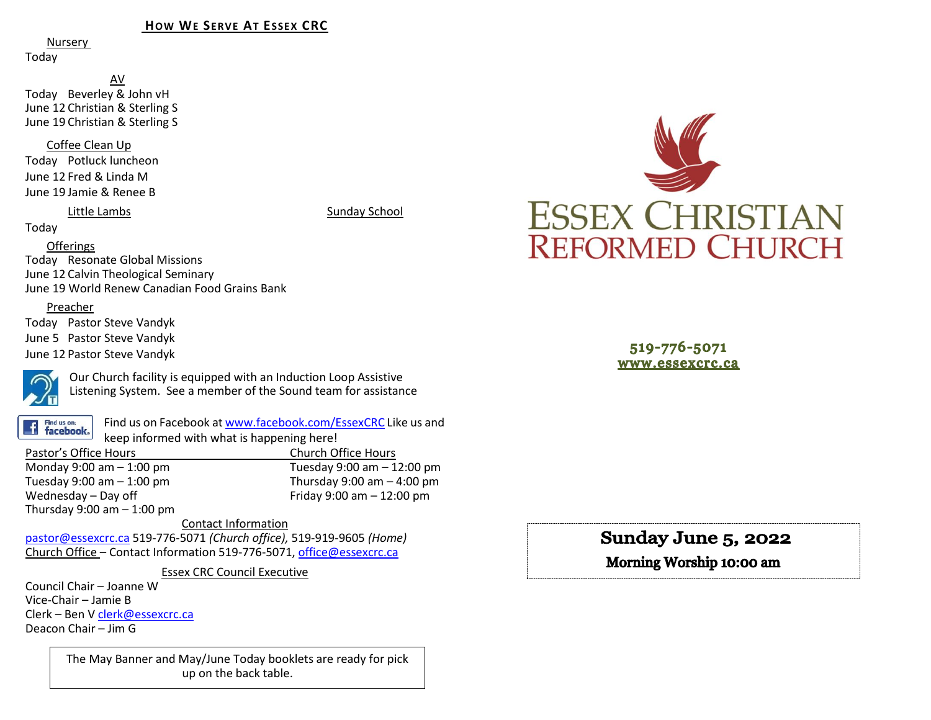#### **HOW WE SERVE AT ESSEX CRC**

Nursery

Today

AV Today Beverley & John vH June 12 Christian & Sterling S June 19 Christian & Sterling S

Coffee Clean Up

Today Potluck luncheon June 12 Fred & Linda M June 19 Jamie & Renee B

Little Lambs Sunday School

Today

#### Offerings

Today Resonate Global Missions June 12 Calvin Theological Seminary June 19 World Renew Canadian Food Grains Bank

#### Preacher

Today Pastor Steve Vandyk June 5 Pastor Steve Vandyk June 12 Pastor Steve Vandyk



Our Church facility is equipped with an Induction Loop Assistive Listening System. See a member of the Sound team for assistance

Find us on: **facebook**. Find us on Facebook a[t www.facebook.com/EssexCRC](http://www.facebook.com/EssexCRC) Like us and keep informed with what is happening here!

Pastor's Office Hours Church Office Hours Monday 9:00 am – 1:00 pm Tuesday 9:00 am – 12:00 pm Thursday 9:00 am  $-$  4:00 pm Wednesday – Day off  $V = 12:00 \text{ pm}$ Thursday  $9:00$  am  $-1:00$  pm

Contact Information [pastor@essexcrc.ca](mailto:pastor@essexcrc.ca) 519-776-5071 *(Church office),* 519-919-9605 *(Home)* Church Office – Contact Information 519-776-5071[, office@essexcrc.ca](mailto:office@essexcrc.ca)

Essex CRC Council Executive

Council Chair – Joanne W Vice-Chair – Jamie B Clerk – Ben V [clerk@essexcrc.ca](mailto:clerk@essexcrc.ca) Deacon Chair – Jim G

> The May Banner and May/June Today booklets are ready for pick up on the back table.



519-776-5071 www.essexcrc.ca

Sunday June 5, 2022

Morning Worship 10:00 am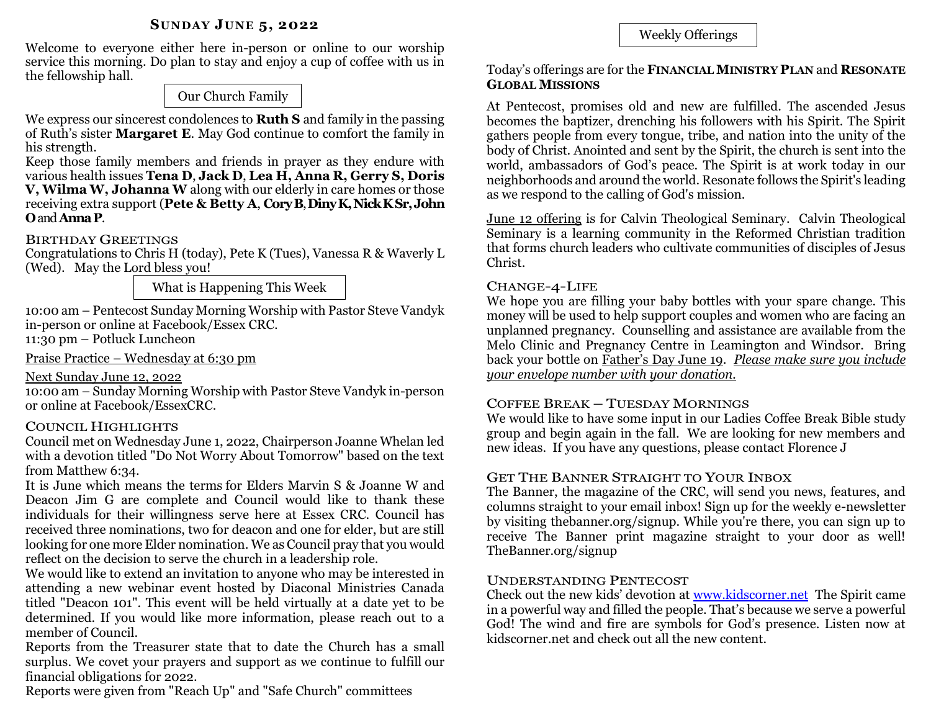## **SUNDAY JUNE 5, 2022**

Welcome to everyone either here in-person or online to our worship service this morning. Do plan to stay and enjoy a cup of coffee with us in the fellowship hall.

Our Church Family

We express our sincerest condolences to **Ruth S** and family in the passing of Ruth's sister **Margaret E**. May God continue to comfort the family in his strength.

Keep those family members and friends in prayer as they endure with various health issues **Tena D**, **Jack D**, **Lea H, Anna R, Gerry S, Doris V, Wilma W, Johanna W** along with our elderly in care homes or those receiving extra support (**Pete & Betty A**, **CoryB**, **DinyK, Nick KSr,John O**and **AnnaP**.

## BIRTHDAY GREETINGS

Congratulations to Chris H (today), Pete K (Tues), Vanessa R & Waverly L (Wed). May the Lord bless you!

What is Happening This Week

10:00 am – Pentecost Sunday Morning Worship with Pastor Steve Vandyk in-person or online at Facebook/Essex CRC. 11:30 pm – Potluck Luncheon

Praise Practice – Wednesday at 6:30 pm

## Next Sunday June 12, 2022

10:00 am – Sunday Morning Worship with Pastor Steve Vandyk in-person or online at Facebook/EssexCRC.

# COUNCIL HIGHLIGHTS

Council met on Wednesday June 1, 2022, Chairperson Joanne Whelan led with a devotion titled "Do Not Worry About Tomorrow" based on the text from Matthew 6:34.

It is June which means the terms for Elders Marvin S & Joanne W and Deacon Jim G are complete and Council would like to thank these individuals for their willingness serve here at Essex CRC. Council has received three nominations, two for deacon and one for elder, but are still looking for one more Elder nomination. We as Council pray that you would reflect on the decision to serve the church in a leadership role.

We would like to extend an invitation to anyone who may be interested in attending a new webinar event hosted by Diaconal Ministries Canada titled "Deacon 101". This event will be held virtually at a date yet to be determined. If you would like more information, please reach out to a member of Council.

Reports from the Treasurer state that to date the Church has a small surplus. We covet your prayers and support as we continue to fulfill our financial obligations for 2022.

Reports were given from "Reach Up" and "Safe Church" committees

Weekly Offerings

## Today's offerings are for the **FINANCIAL MINISTRY PLAN** and **RESONATE GLOBAL MISSIONS**

At Pentecost, promises old and new are fulfilled. The ascended Jesus becomes the baptizer, drenching his followers with his Spirit. The Spirit gathers people from every tongue, tribe, and nation into the unity of the body of Christ. Anointed and sent by the Spirit, the church is sent into the world, ambassadors of God's peace. The Spirit is at work today in our neighborhoods and around the world. Resonate follows the Spirit's leading as we respond to the calling of God's mission.

June 12 offering is for Calvin Theological Seminary. Calvin Theological Seminary is a learning community in the Reformed Christian tradition that forms church leaders who cultivate communities of disciples of Jesus Christ.

## CHANGE-4-LIFE

We hope you are filling your baby bottles with your spare change. This money will be used to help support couples and women who are facing an unplanned pregnancy. Counselling and assistance are available from the Melo Clinic and Pregnancy Centre in Leamington and Windsor. Bring back your bottle on Father's Day June 19. *Please make sure you include your envelope number with your donation.*

# COFFEE BREAK – TUESDAY MORNINGS

We would like to have some input in our Ladies Coffee Break Bible study group and begin again in the fall. We are looking for new members and new ideas. If you have any questions, please contact Florence J

# GET THE BANNER STRAIGHT TO YOUR INBOX

The Banner, the magazine of the CRC, will send you news, features, and columns straight to your email inbox! Sign up for the weekly e-newsletter by visiting thebanner.org/signup. While you're there, you can sign up to receive The Banner print magazine straight to your door as well! TheBanner.org/signup

## UNDERSTANDING PENTECOST

Check out the new kids' devotion at [www.kidscorner.net](http://www.kidscorner.net/) The Spirit came in a powerful way and filled the people. That's because we serve a powerful God! The wind and fire are symbols for God's presence. Listen now at kidscorner.net and check out all the new content.